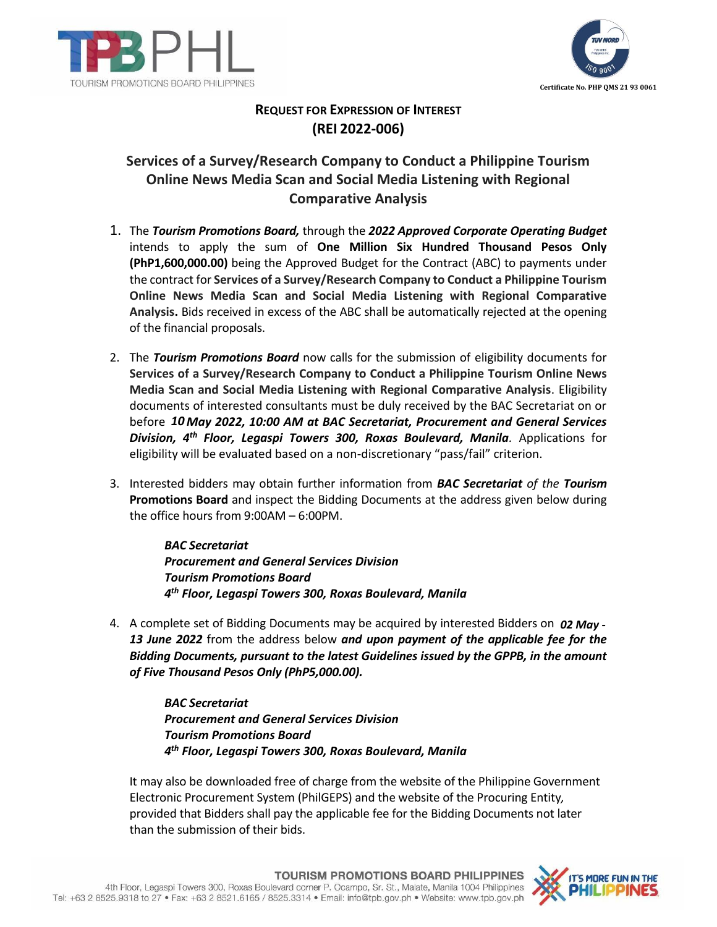



## **REQUEST FOR EXPRESSION OF INTEREST (REI 2022-006)**

## **Services of a Survey/Research Company to Conduct a Philippine Tourism Online News Media Scan and Social Media Listening with Regional Comparative Analysis**

- 1. The *Tourism Promotions Board,* through the *2022 Approved Corporate Operating Budget* intends to apply the sum of **One Million Six Hundred Thousand Pesos Only (PhP1,600,000.00)** being the Approved Budget for the Contract (ABC) to payments under the contract for **Services of a Survey/Research Company to Conduct a Philippine Tourism Online News Media Scan and Social Media Listening with Regional Comparative Analysis.** Bids received in excess of the ABC shall be automatically rejected at the opening of the financial proposals.
- 2. The *Tourism Promotions Board* now calls for the submission of eligibility documents for **Services of a Survey/Research Company to Conduct a Philippine Tourism Online News Media Scan and Social Media Listening with Regional Comparative Analysis**. Eligibility documents of interested consultants must be duly received by the BAC Secretariat on or before 10 May 2022, 10:00 AM at BAC Secretariat, Procurement and General Services *Division, 4th Floor, Legaspi Towers 300, Roxas Boulevard, Manila.* Applications for eligibility will be evaluated based on a non-discretionary "pass/fail" criterion.
- 3. Interested bidders may obtain further information from *BAC Secretariat of the Tourism* **Promotions Board** and inspect the Bidding Documents at the address given below during the office hours from 9:00AM – 6:00PM.

*BAC Secretariat Procurement and General Services Division Tourism Promotions Board 4th Floor, Legaspi Towers 300, Roxas Boulevard, Manila*

4. A complete set of Bidding Documents may be acquired by interested Bidders on 02 May -*13 June 2022* from the address below *and upon payment of the applicable fee for the Bidding Documents, pursuant to the latest Guidelines issued by the GPPB, in the amount of Five Thousand Pesos Only (PhP5,000.00).*

> *BAC Secretariat Procurement and General Services Division Tourism Promotions Board 4th Floor, Legaspi Towers 300, Roxas Boulevard, Manila*

It may also be downloaded free of charge from the website of the Philippine Government Electronic Procurement System (PhilGEPS) and the website of the Procuring Entity*,*  provided that Bidders shall pay the applicable fee for the Bidding Documents not later than the submission of their bids.